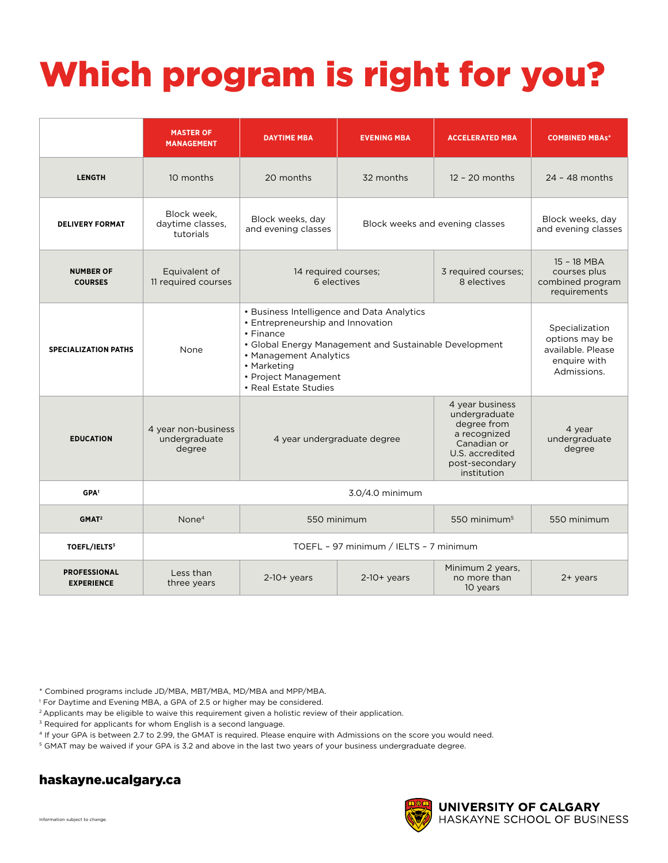## Which program is right for you?

|                                          | <b>MASTER OF</b><br><b>MANAGEMENT</b>          | <b>DAYTIME MBA</b>                                                                                                                                                                                                                               | <b>EVENING MBA</b>                                                        | <b>ACCELERATED MBA</b>                                                | <b>COMBINED MBAs*</b>                                                                |  |
|------------------------------------------|------------------------------------------------|--------------------------------------------------------------------------------------------------------------------------------------------------------------------------------------------------------------------------------------------------|---------------------------------------------------------------------------|-----------------------------------------------------------------------|--------------------------------------------------------------------------------------|--|
| <b>LENGTH</b>                            | 10 months                                      | 20 months                                                                                                                                                                                                                                        | 32 months                                                                 | $12 - 20$ months                                                      | $24 - 48$ months                                                                     |  |
| <b>DELIVERY FORMAT</b>                   | Block week.<br>daytime classes,<br>tutorials   | Block weeks, day<br>and evening classes                                                                                                                                                                                                          | Block weeks and evening classes                                           |                                                                       | Block weeks, day<br>and evening classes                                              |  |
| <b>NUMBER OF</b><br><b>COURSES</b>       | Equivalent of<br>11 required courses           |                                                                                                                                                                                                                                                  | 14 required courses;<br>3 required courses;<br>6 electives<br>8 electives |                                                                       | 15 - 18 MBA<br>courses plus<br>combined program<br>requirements                      |  |
| <b>SPECIALIZATION PATHS</b>              | None                                           | • Business Intelligence and Data Analytics<br>• Entrepreneurship and Innovation<br>• Finance<br>• Global Energy Management and Sustainable Development<br>• Management Analytics<br>• Marketing<br>• Project Management<br>• Real Estate Studies |                                                                           |                                                                       | Specialization<br>options may be<br>available. Please<br>enquire with<br>Admissions. |  |
| <b>EDUCATION</b>                         | 4 year non-business<br>undergraduate<br>degree | degree from<br>a recognized<br>4 year undergraduate degree<br>Canadian or<br>institution                                                                                                                                                         |                                                                           | 4 year business<br>undergraduate<br>U.S. accredited<br>post-secondary | 4 year<br>undergraduate<br>degree                                                    |  |
| GPA <sup>1</sup>                         |                                                | 3.0/4.0 minimum                                                                                                                                                                                                                                  |                                                                           |                                                                       |                                                                                      |  |
| GMAT <sup>2</sup>                        | None <sup>4</sup>                              | 550 minimum<br>550 minimum <sup>5</sup>                                                                                                                                                                                                          |                                                                           | 550 minimum                                                           |                                                                                      |  |
| <b>TOEFL/IELTS3</b>                      |                                                | TOEFL - 97 minimum / IELTS - 7 minimum                                                                                                                                                                                                           |                                                                           |                                                                       |                                                                                      |  |
| <b>PROFESSIONAL</b><br><b>EXPERIENCE</b> | Less than<br>three years                       | $2-10+$ years                                                                                                                                                                                                                                    | $2-10+$ years                                                             | Minimum 2 years,<br>no more than<br>10 years                          | $2+$ years                                                                           |  |

\* Combined programs include JD/MBA, MBT/MBA, MD/MBA and MPP/MBA.

1 For Daytime and Evening MBA, a GPA of 2.5 or higher may be considered.

<sup>2</sup> Applicants may be eligible to waive this requirement given a holistic review of their application.

<sup>3</sup> Required for applicants for whom English is a second language.

4 If your GPA is between 2.7 to 2.99, the GMAT is required. Please enquire with Admissions on the score you would need.

5 GMAT may be waived if your GPA is 3.2 and above in the last two years of your business undergraduate degree.

## haskayne.ucalgary.ca